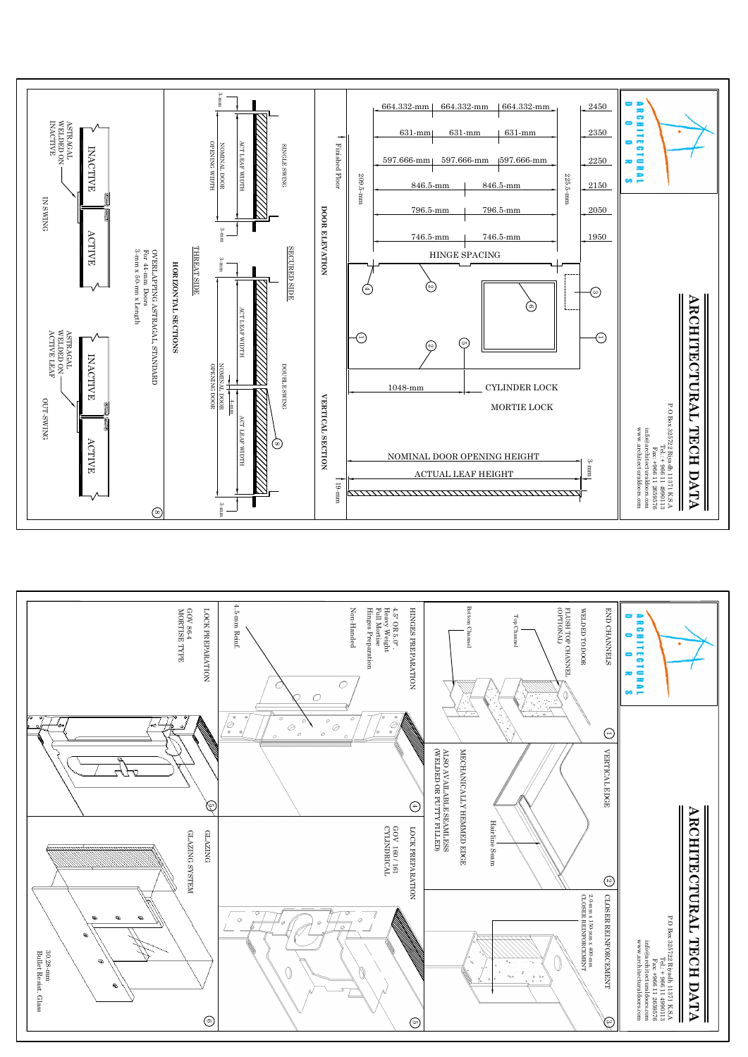